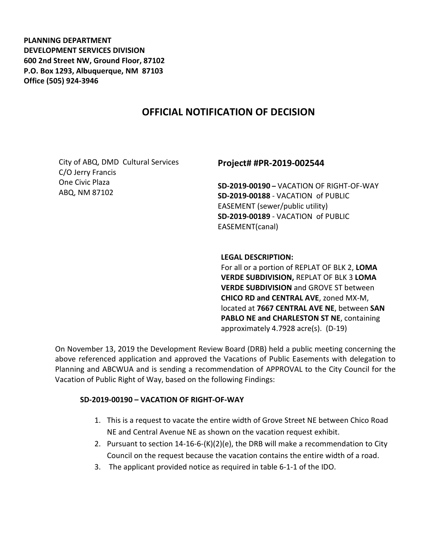**PLANNING DEPARTMENT DEVELOPMENT SERVICES DIVISION 600 2nd Street NW, Ground Floor, 87102 P.O. Box 1293, Albuquerque, NM 87103 Office (505) 924-3946** 

# **OFFICIAL NOTIFICATION OF DECISION**

City of ABQ, DMD Cultural Services C/O Jerry Francis One Civic Plaza ABQ, NM 87102

#### **Project# #PR-2019-002544**

**SD-2019-00190 –** VACATION OF RIGHT-OF-WAY **SD-2019-00188** - VACATION of PUBLIC EASEMENT (sewer/public utility) **SD-2019-00189** - VACATION of PUBLIC EASEMENT(canal)

**LEGAL DESCRIPTION:**

For all or a portion of REPLAT OF BLK 2, **LOMA VERDE SUBDIVISION,** REPLAT OF BLK 3 **LOMA VERDE SUBDIVISION** and GROVE ST between **CHICO RD and CENTRAL AVE**, zoned MX-M, located at **7667 CENTRAL AVE NE**, between **SAN PABLO NE and CHARLESTON ST NE**, containing approximately 4.7928 acre(s). (D-19)

On November 13, 2019 the Development Review Board (DRB) held a public meeting concerning the above referenced application and approved the Vacations of Public Easements with delegation to Planning and ABCWUA and is sending a recommendation of APPROVAL to the City Council for the Vacation of Public Right of Way, based on the following Findings:

#### **SD-2019-00190 – VACATION OF RIGHT-OF-WAY**

- 1. This is a request to vacate the entire width of Grove Street NE between Chico Road NE and Central Avenue NE as shown on the vacation request exhibit.
- 2. Pursuant to section 14-16-6-(K)(2)(e), the DRB will make a recommendation to City Council on the request because the vacation contains the entire width of a road.
- 3. The applicant provided notice as required in table 6-1-1 of the IDO.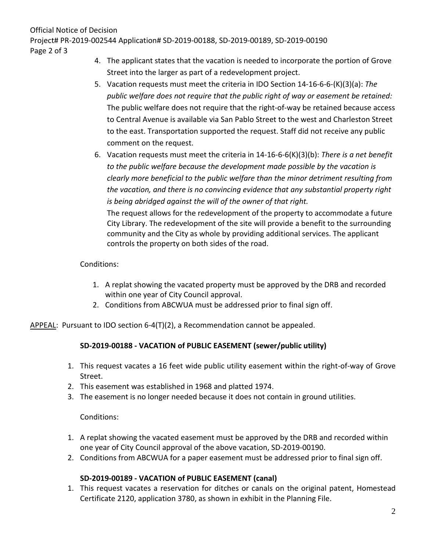Official Notice of Decision

Project# PR-2019-002544 Application# SD-2019-00188, SD-2019-00189, SD-2019-00190

Page 2 of 3

- 4. The applicant states that the vacation is needed to incorporate the portion of Grove Street into the larger as part of a redevelopment project.
- 5. Vacation requests must meet the criteria in IDO Section 14-16-6-6-(K)(3)(a): *The public welfare does not require that the public right of way or easement be retained:* The public welfare does not require that the right-of-way be retained because access to Central Avenue is available via San Pablo Street to the west and Charleston Street to the east. Transportation supported the request. Staff did not receive any public comment on the request.
- 6. Vacation requests must meet the criteria in 14-16-6-6(K)(3)(b): *There is a net benefit to the public welfare because the development made possible by the vacation is clearly more beneficial to the public welfare than the minor detriment resulting from the vacation, and there is no convincing evidence that any substantial property right is being abridged against the will of the owner of that right.*

The request allows for the redevelopment of the property to accommodate a future City Library. The redevelopment of the site will provide a benefit to the surrounding community and the City as whole by providing additional services. The applicant controls the property on both sides of the road.

### Conditions:

- 1. A replat showing the vacated property must be approved by the DRB and recorded within one year of City Council approval.
- 2. Conditions from ABCWUA must be addressed prior to final sign off.

APPEAL: Pursuant to IDO section 6-4(T)(2), a Recommendation cannot be appealed.

# **SD-2019-00188 - VACATION of PUBLIC EASEMENT (sewer/public utility)**

- 1. This request vacates a 16 feet wide public utility easement within the right-of-way of Grove Street.
- 2. This easement was established in 1968 and platted 1974.
- 3. The easement is no longer needed because it does not contain in ground utilities.

### Conditions:

- 1. A replat showing the vacated easement must be approved by the DRB and recorded within one year of City Council approval of the above vacation, SD-2019-00190.
- 2. Conditions from ABCWUA for a paper easement must be addressed prior to final sign off.

# **SD-2019-00189 - VACATION of PUBLIC EASEMENT (canal)**

1. This request vacates a reservation for ditches or canals on the original patent, Homestead Certificate 2120, application 3780, as shown in exhibit in the Planning File.